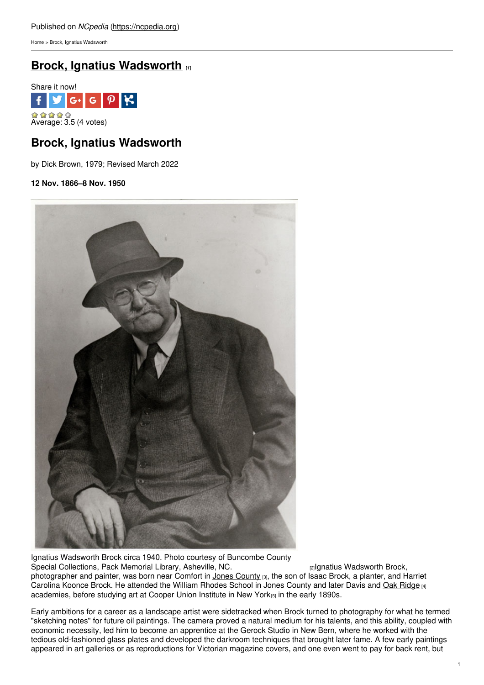[Home](https://ncpedia.org/) > Brock, Ignatius Wadsworth

## **Brock, Ignatius [Wadsworth](https://ncpedia.org/biography/brock-ignatius-wadsworth) [1]**



# **Brock, Ignatius Wadsworth**

by Dick Brown, 1979; Revised March 2022

**12 Nov. 1866–8 Nov. 1950**



Ignatius Wadsworth Brock circa 1940. Photo courtesy of Buncombe County Special [Collections,](https://7039.sydneyplus.com/archive/final/Portal/Default.aspx?component=AAEM&record=188256c0-83f8-4526-827e-cb1ef98309a1) Pack Memorial Library, Asheville, NC. **[2]** [2] Ignatius Wadsworth Brock, photographer and painter, was born near Comfort in Jones [County](https://ncpedia.org/geography/jones) [3], the son of Isaac Brock, a planter, and Harriet Carolina Koonce Brock. He attended the William Rhodes School in Jones County and later Davis and Oak [Ridge](https://ncpedia.org/oak-ridge-military-academy) [4] academies, before studying art at Cooper Union [Institute](http://cooper.edu/) in New York[5] in the early 1890s.

Early ambitions for a career as a landscape artist were sidetracked when Brock turned to photography for what he termed "sketching notes" for future oil paintings. The camera proved a natural medium for his talents, and this ability, coupled with economic necessity, led him to become an apprentice at the Gerock Studio in New Bern, where he worked with the tedious old-fashioned glass plates and developed the darkroom techniques that brought later fame. A few early paintings appeared in art galleries or as reproductions for Victorian magazine covers, and one even went to pay for back rent, but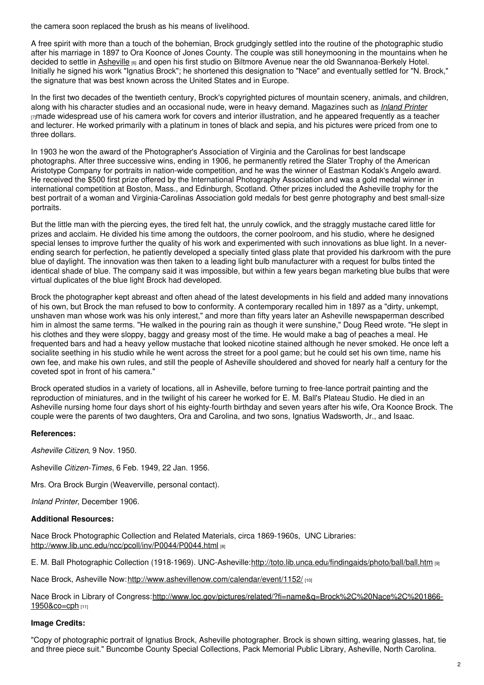the camera soon replaced the brush as his means of livelihood.

A free spirit with more than a touch of the bohemian, Brock grudgingly settled into the routine of the photographic studio after his marriage in 1897 to Ora Koonce of Jones County. The couple was still honeymooning in the mountains when he decided to settle in [Asheville](https://ncpedia.org/geography/asheville) (6) and open his first studio on Biltmore Avenue near the old Swannanoa-Berkely Hotel. Initially he signed his work "Ignatius Brock"; he shortened this designation to "Nace" and eventually settled for "N. Brock," the signature that was best known across the United States and in Europe.

In the first two decades of the twentieth century, Brock's copyrighted pictures of mountain scenery, animals, and children, along with his character studies and an occasional nude, were in heavy demand. Magazines such as *Inland [Printer](https://archive.org/search.php?query=creator%3A%22The+Inland+Printer+Company%22)*  $_{[7]}$ made widespread use of his camera work for covers and interior illustration, and he appeared frequently as a teacher and lecturer. He worked primarily with a platinum in tones of black and sepia, and his pictures were priced from one to three dollars.

In 1903 he won the award of the Photographer's Association of Virginia and the Carolinas for best landscape photographs. After three successive wins, ending in 1906, he permanently retired the Slater Trophy of the American Aristotype Company for portraits in nation-wide competition, and he was the winner of Eastman Kodak's Angelo award. He received the \$500 first prize offered by the International Photography Association and was a gold medal winner in international competition at Boston, Mass., and Edinburgh, Scotland. Other prizes included the Asheville trophy for the best portrait of a woman and Virginia-Carolinas Association gold medals for best genre photography and best small-size portraits.

But the little man with the piercing eyes, the tired felt hat, the unruly cowlick, and the straggly mustache cared little for prizes and acclaim. He divided his time among the outdoors, the corner poolroom, and his studio, where he designed special lenses to improve further the quality of his work and experimented with such innovations as blue light. In a neverending search for perfection, he patiently developed a specially tinted glass plate that provided his darkroom with the pure blue of daylight. The innovation was then taken to a leading light bulb manufacturer with a request for bulbs tinted the identical shade of blue. The company said it was impossible, but within a few years began marketing blue bulbs that were virtual duplicates of the blue light Brock had developed.

Brock the photographer kept abreast and often ahead of the latest developments in his field and added many innovations of his own, but Brock the man refused to bow to conformity. A contemporary recalled him in 1897 as a "dirty, unkempt, unshaven man whose work was his only interest," and more than fifty years later an Asheville newspaperman described him in almost the same terms. "He walked in the pouring rain as though it were sunshine," Doug Reed wrote. "He slept in his clothes and they were sloppy, baggy and greasy most of the time. He would make a bag of peaches a meal. He frequented bars and had a heavy yellow mustache that looked nicotine stained although he never smoked. He once left a socialite seething in his studio while he went across the street for a pool game; but he could set his own time, name his own fee, and make his own rules, and still the people of Asheville shouldered and shoved for nearly half a century for the coveted spot in front of his camera."

Brock operated studios in a variety of locations, all in Asheville, before turning to free-lance portrait painting and the reproduction of miniatures, and in the twilight of his career he worked for E. M. Ball's Plateau Studio. He died in an Asheville nursing home four days short of his eighty-fourth birthday and seven years after his wife, Ora Koonce Brock. The couple were the parents of two daughters, Ora and Carolina, and two sons, Ignatius Wadsworth, Jr., and Isaac.

### **References:**

*Asheville Citizen*, 9 Nov. 1950.

Asheville *Citizen-Times*, 6 Feb. 1949, 22 Jan. 1956.

Mrs. Ora Brock Burgin (Weaverville, personal contact).

*Inland Printer*, December 1906.

### **Additional Resources:**

Nace Brock Photographic Collection and Related Materials, circa 1869-1960s, UNC Libraries: <http://www.lib.unc.edu/ncc/pcoll/inv/P0044/P0044.html> [8]

E. M. Ball Photographic Collection (1918-1969). UNC-Asheville[:http://toto.lib.unca.edu/findingaids/photo/ball/ball.htm](http://toto.lib.unca.edu/findingaids/photo/ball/ball.htm) [9]

Nace Brock, Asheville Now: <http://www.ashevillenow.com/calendar/event/1152/> [10]

Nace Brock in Library of [Congress:http://www.loc.gov/pictures/related/?fi=name&q=Brock%2C%20Nace%2C%201866-](http://www.loc.gov/pictures/related/?fi=name&q=Brock%2C Nace%2C 1866-1950&co=cph) 1950&co=cph [11]

### **Image Credits:**

"Copy of photographic portrait of Ignatius Brock, Asheville photographer. Brock is shown sitting, wearing glasses, hat, tie and three piece suit." Buncombe County Special Collections, Pack Memorial Public Library, Asheville, North Carolina.